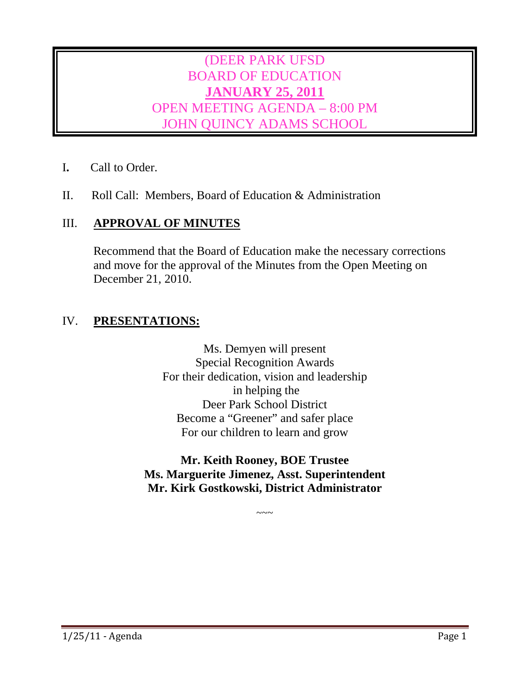# (DEER PARK UFSD BOARD OF EDUCATION **JANUARY 25, 2011** OPEN MEETING AGENDA – 8:00 PM JOHN QUINCY ADAMS SCHOOL

- I**.** Call to Order.
- II. Roll Call: Members, Board of Education & Administration

# III. **APPROVAL OF MINUTES**

Recommend that the Board of Education make the necessary corrections and move for the approval of the Minutes from the Open Meeting on December 21, 2010.

# IV. **PRESENTATIONS:**

Ms. Demyen will present Special Recognition Awards For their dedication, vision and leadership in helping the Deer Park School District Become a "Greener" and safer place For our children to learn and grow

# **Mr. Keith Rooney, BOE Trustee Ms. Marguerite Jimenez, Asst. Superintendent Mr. Kirk Gostkowski, District Administrator**

 $\sim\sim\sim$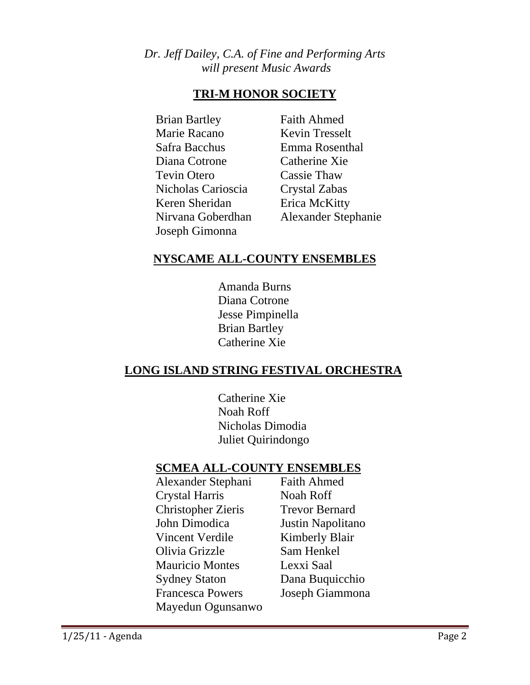# *Dr. Jeff Dailey, C.A. of Fine and Performing Arts will present Music Awards*

# **TRI-M HONOR SOCIETY**

 Brian Bartley Faith Ahmed Marie Racano Kevin Tresselt Safra Bacchus Emma Rosenthal Diana Cotrone Catherine Xie Tevin Otero Cassie Thaw Nicholas Carioscia Crystal Zabas Keren Sheridan Erica McKitty Joseph Gimonna

Nirvana Goberdhan Alexander Stephanie

# **NYSCAME ALL-COUNTY ENSEMBLES**

 Amanda Burns Diana Cotrone Jesse Pimpinella Brian Bartley Catherine Xie

# **LONG ISLAND STRING FESTIVAL ORCHESTRA**

 Catherine Xie Noah Roff Nicholas Dimodia Juliet Quirindongo

# **SCMEA ALL-COUNTY ENSEMBLES**

 Alexander Stephani Faith Ahmed Crystal Harris Noah Roff Christopher Zieris Trevor Bernard John Dimodica Justin Napolitano Vincent Verdile Kimberly Blair Olivia Grizzle Sam Henkel Mauricio Montes Lexxi Saal Sydney Staton Dana Buquicchio Francesca Powers Joseph Giammona Mayedun Ogunsanwo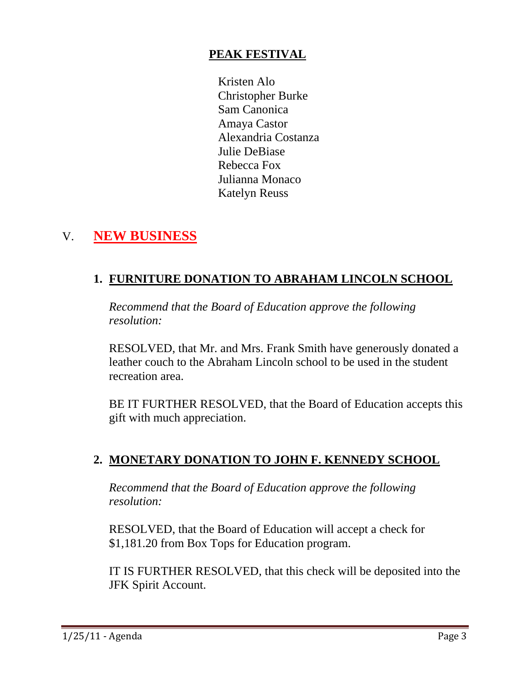# **PEAK FESTIVAL**

 Kristen Alo Christopher Burke Sam Canonica Amaya Castor Alexandria Costanza Julie DeBiase Rebecca Fox Julianna Monaco Katelyn Reuss

# V. **NEW BUSINESS**

# **1. FURNITURE DONATION TO ABRAHAM LINCOLN SCHOOL**

*Recommend that the Board of Education approve the following resolution:* 

RESOLVED, that Mr. and Mrs. Frank Smith have generously donated a leather couch to the Abraham Lincoln school to be used in the student recreation area.

BE IT FURTHER RESOLVED, that the Board of Education accepts this gift with much appreciation.

# **2. MONETARY DONATION TO JOHN F. KENNEDY SCHOOL**

*Recommend that the Board of Education approve the following resolution:* 

RESOLVED, that the Board of Education will accept a check for \$1,181.20 from Box Tops for Education program.

IT IS FURTHER RESOLVED, that this check will be deposited into the JFK Spirit Account.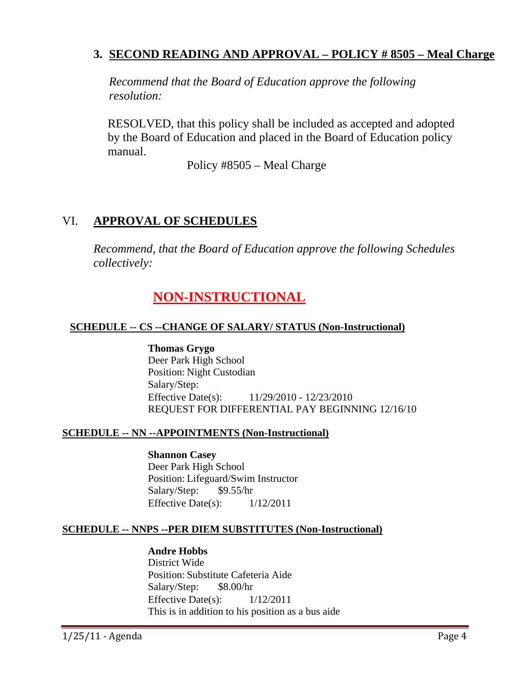# **3. SECOND READING AND APPROVAL – POLICY # 8505 – Meal Charge**

*Recommend that the Board of Education approve the following resolution:* 

RESOLVED, that this policy shall be included as accepted and adopted by the Board of Education and placed in the Board of Education policy manual.

Policy #8505 – Meal Charge

# VI. **APPROVAL OF SCHEDULES**

*Recommend, that the Board of Education approve the following Schedules collectively:* 

# **NON-INSTRUCTIONAL**

## **SCHEDULE -- CS --CHANGE OF SALARY/ STATUS (Non-Instructional)**

**Thomas Grygo** Deer Park High School Position: Night Custodian Salary/Step: Effective Date(s): 11/29/2010 - 12/23/2010 REQUEST FOR DIFFERENTIAL PAY BEGINNING 12/16/10

## **SCHEDULE -- NN --APPOINTMENTS (Non-Instructional)**

**Shannon Casey** Deer Park High School Position: Lifeguard/Swim Instructor Salary/Step: \$9.55/hr Effective Date(s):  $1/12/2011$ 

## **SCHEDULE -- NNPS --PER DIEM SUBSTITUTES (Non-Instructional)**

## **Andre Hobbs**

District Wide Position: Substitute Cafeteria Aide Salary/Step: \$8.00/hr Effective Date(s):  $1/12/2011$ This is in addition to his position as a bus aide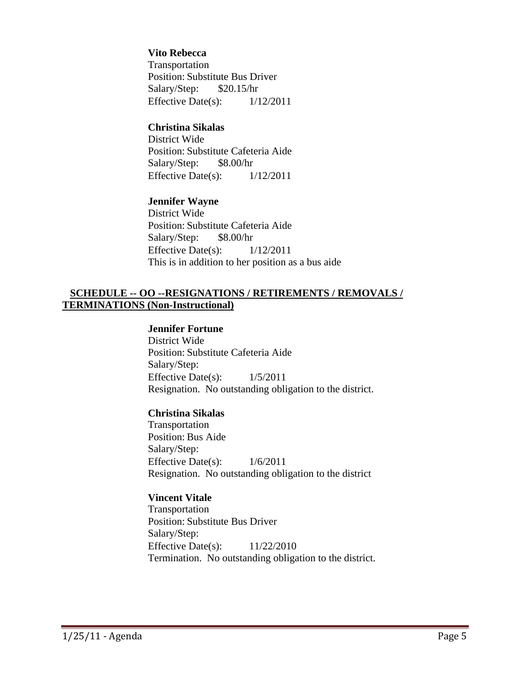#### **Vito Rebecca**

Transportation Position: Substitute Bus Driver Salary/Step: \$20.15/hr Effective Date(s):  $1/12/2011$ 

## **Christina Sikalas**

District Wide Position: Substitute Cafeteria Aide Salary/Step: \$8.00/hr Effective Date(s):  $1/12/2011$ 

#### **Jennifer Wayne**

District Wide Position: Substitute Cafeteria Aide Salary/Step: \$8.00/hr Effective Date(s):  $1/12/2011$ This is in addition to her position as a bus aide

## **SCHEDULE -- OO --RESIGNATIONS / RETIREMENTS / REMOVALS / TERMINATIONS (Non-Instructional)**

## **Jennifer Fortune**

District Wide Position: Substitute Cafeteria Aide Salary/Step: Effective Date(s): 1/5/2011 Resignation. No outstanding obligation to the district.

#### **Christina Sikalas**

Transportation Position: Bus Aide Salary/Step: Effective Date(s): 1/6/2011 Resignation. No outstanding obligation to the district

#### **Vincent Vitale**

Transportation Position: Substitute Bus Driver Salary/Step: Effective Date(s):  $11/22/2010$ Termination. No outstanding obligation to the district.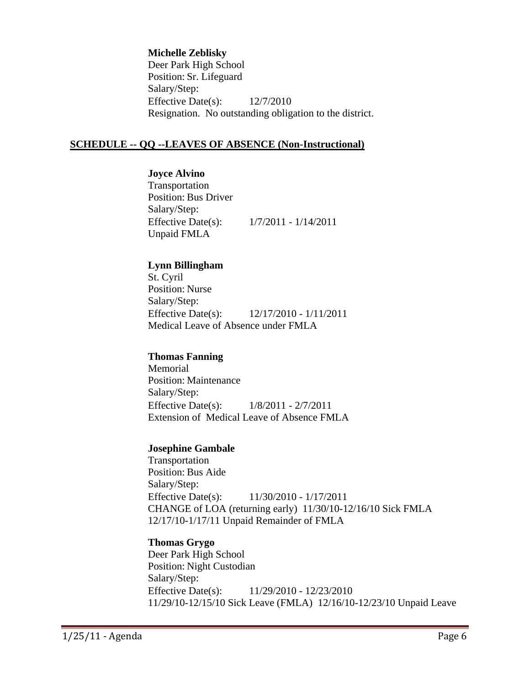#### **Michelle Zeblisky**

Deer Park High School Position: Sr. Lifeguard Salary/Step: Effective Date(s): 12/7/2010 Resignation. No outstanding obligation to the district.

## **SCHEDULE -- QQ --LEAVES OF ABSENCE (Non-Instructional)**

#### **Joyce Alvino**

Transportation Position: Bus Driver Salary/Step: Effective Date(s): 1/7/2011 - 1/14/2011 Unpaid FMLA

#### **Lynn Billingham**

St. Cyril Position: Nurse Salary/Step: Effective Date(s): 12/17/2010 - 1/11/2011 Medical Leave of Absence under FMLA

#### **Thomas Fanning**

Memorial Position: Maintenance Salary/Step: Effective Date(s): 1/8/2011 - 2/7/2011 Extension of Medical Leave of Absence FMLA

#### **Josephine Gambale**

Transportation Position: Bus Aide Salary/Step: Effective Date(s): 11/30/2010 - 1/17/2011 CHANGE of LOA (returning early) 11/30/10-12/16/10 Sick FMLA 12/17/10-1/17/11 Unpaid Remainder of FMLA

## **Thomas Grygo**

Deer Park High School Position: Night Custodian Salary/Step: Effective Date(s): 11/29/2010 - 12/23/2010 11/29/10-12/15/10 Sick Leave (FMLA) 12/16/10-12/23/10 Unpaid Leave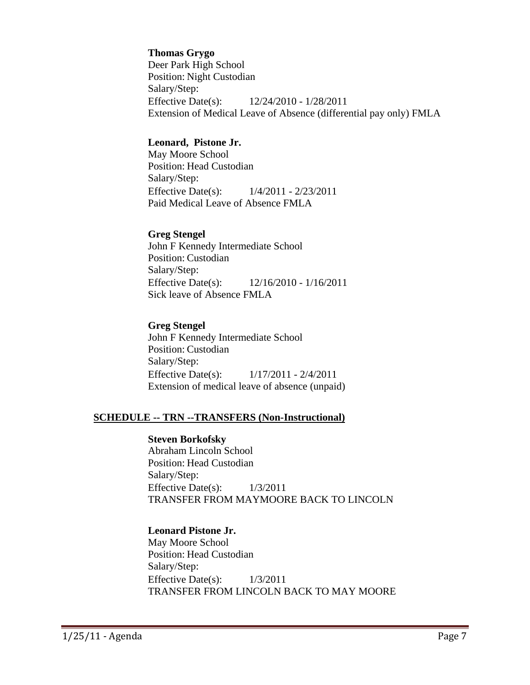#### **Thomas Grygo**

Deer Park High School Position: Night Custodian Salary/Step: Effective Date(s): 12/24/2010 - 1/28/2011 Extension of Medical Leave of Absence (differential pay only) FMLA

## **Leonard, Pistone Jr.**

May Moore School Position: Head Custodian Salary/Step: Effective Date(s): 1/4/2011 - 2/23/2011 Paid Medical Leave of Absence FMLA

#### **Greg Stengel**

John F Kennedy Intermediate School Position: Custodian Salary/Step: Effective Date(s): 12/16/2010 - 1/16/2011 Sick leave of Absence FMLA

#### **Greg Stengel**

John F Kennedy Intermediate School Position: Custodian Salary/Step: Effective Date(s): 1/17/2011 - 2/4/2011 Extension of medical leave of absence (unpaid)

#### **SCHEDULE -- TRN --TRANSFERS (Non-Instructional)**

#### **Steven Borkofsky**

Abraham Lincoln School Position: Head Custodian Salary/Step: Effective Date(s): 1/3/2011 TRANSFER FROM MAYMOORE BACK TO LINCOLN

#### **Leonard Pistone Jr.**

May Moore School Position: Head Custodian Salary/Step: Effective Date(s):  $1/3/2011$ TRANSFER FROM LINCOLN BACK TO MAY MOORE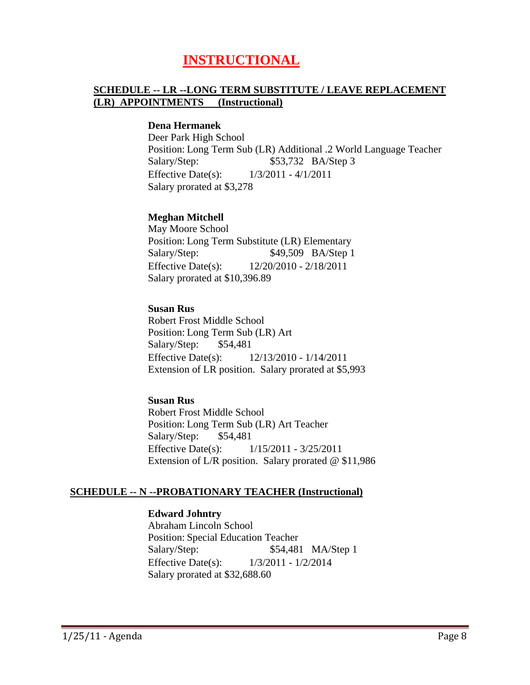# **INSTRUCTIONAL**

## **SCHEDULE -- LR --LONG TERM SUBSTITUTE / LEAVE REPLACEMENT (LR) APPOINTMENTS (Instructional)**

#### **Dena Hermanek**

Deer Park High School Position: Long Term Sub (LR) Additional .2 World Language Teacher Salary/Step: \$53,732 BA/Step 3 Effective Date(s): 1/3/2011 - 4/1/2011 Salary prorated at \$3,278

#### **Meghan Mitchell**

May Moore School Position: Long Term Substitute (LR) Elementary Salary/Step: \$49,509 BA/Step 1 Effective Date(s): 12/20/2010 - 2/18/2011 Salary prorated at \$10,396.89

#### **Susan Rus**

Robert Frost Middle School Position: Long Term Sub (LR) Art Salary/Step: \$54,481 Effective Date(s): 12/13/2010 - 1/14/2011 Extension of LR position. Salary prorated at \$5,993

#### **Susan Rus**

Robert Frost Middle School Position: Long Term Sub (LR) Art Teacher Salary/Step: \$54,481 Effective Date(s): 1/15/2011 - 3/25/2011 Extension of L/R position. Salary prorated @ \$11,986

#### **SCHEDULE -- N --PROBATIONARY TEACHER (Instructional)**

#### **Edward Johntry**

Abraham Lincoln School Position: Special Education Teacher Salary/Step: \$54,481 MA/Step 1 Effective Date(s): 1/3/2011 - 1/2/2014 Salary prorated at \$32,688.60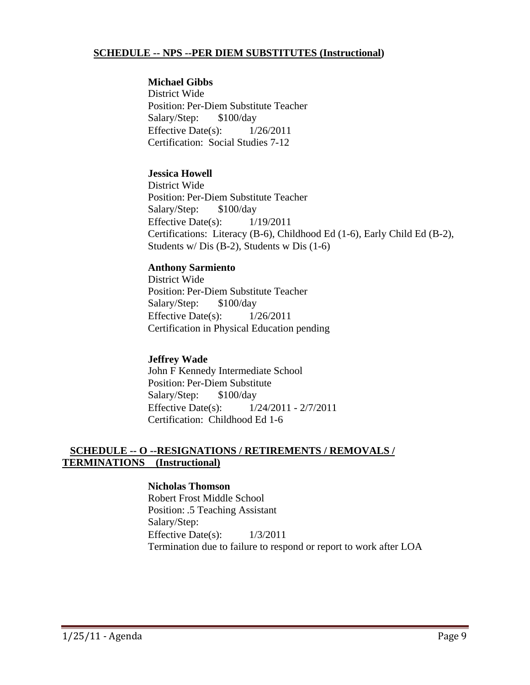## **SCHEDULE -- NPS --PER DIEM SUBSTITUTES (Instructional)**

#### **Michael Gibbs**

District Wide Position: Per-Diem Substitute Teacher Salary/Step: \$100/day Effective Date(s):  $1/26/2011$ Certification: Social Studies 7-12

## **Jessica Howell**

District Wide Position: Per-Diem Substitute Teacher Salary/Step: \$100/day Effective Date(s):  $1/19/2011$ Certifications: Literacy (B-6), Childhood Ed (1-6), Early Child Ed (B-2), Students w/ Dis (B-2), Students w Dis (1-6)

## **Anthony Sarmiento**

District Wide Position: Per-Diem Substitute Teacher Salary/Step: \$100/day Effective Date(s):  $1/26/2011$ Certification in Physical Education pending

## **Jeffrey Wade**

John F Kennedy Intermediate School Position: Per-Diem Substitute Salary/Step: \$100/day Effective Date(s): 1/24/2011 - 2/7/2011 Certification: Childhood Ed 1-6

## **SCHEDULE -- O --RESIGNATIONS / RETIREMENTS / REMOVALS / TERMINATIONS (Instructional)**

#### **Nicholas Thomson**

Robert Frost Middle School Position: .5 Teaching Assistant Salary/Step: Effective Date(s): 1/3/2011 Termination due to failure to respond or report to work after LOA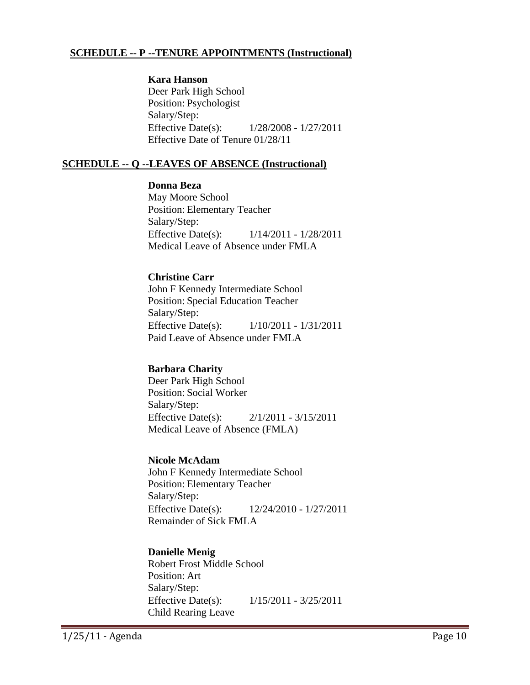## **SCHEDULE -- P --TENURE APPOINTMENTS (Instructional)**

#### **Kara Hanson**

Deer Park High School Position: Psychologist Salary/Step: Effective Date(s): 1/28/2008 - 1/27/2011 Effective Date of Tenure 01/28/11

## **SCHEDULE -- Q --LEAVES OF ABSENCE (Instructional)**

#### **Donna Beza**

May Moore School Position: Elementary Teacher Salary/Step: Effective Date(s): 1/14/2011 - 1/28/2011 Medical Leave of Absence under FMLA

#### **Christine Carr**

John F Kennedy Intermediate School Position: Special Education Teacher Salary/Step: Effective Date(s): 1/10/2011 - 1/31/2011 Paid Leave of Absence under FMLA

## **Barbara Charity**

Deer Park High School Position: Social Worker Salary/Step: Effective Date(s): 2/1/2011 - 3/15/2011 Medical Leave of Absence (FMLA)

#### **Nicole McAdam**

John F Kennedy Intermediate School Position: Elementary Teacher Salary/Step: Effective Date(s): 12/24/2010 - 1/27/2011 Remainder of Sick FMLA

## **Danielle Menig**

Robert Frost Middle School Position: Art Salary/Step: Effective Date(s): 1/15/2011 - 3/25/2011 Child Rearing Leave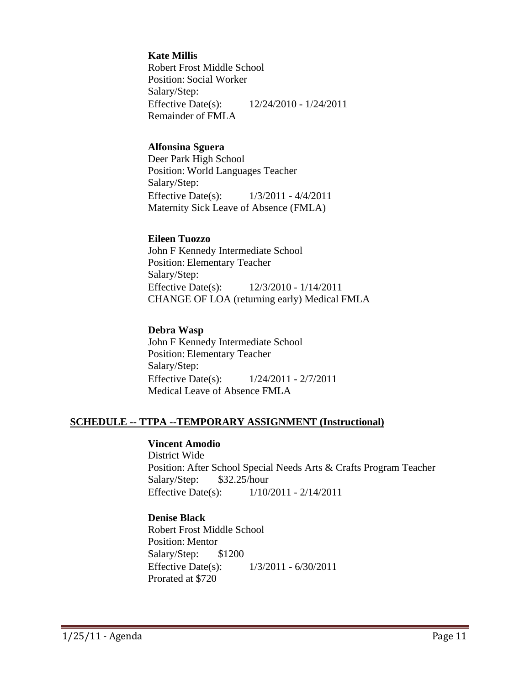#### **Kate Millis**

Robert Frost Middle School Position: Social Worker Salary/Step: Effective Date(s): 12/24/2010 - 1/24/2011 Remainder of FMLA

#### **Alfonsina Sguera**

Deer Park High School Position: World Languages Teacher Salary/Step: Effective Date(s): 1/3/2011 - 4/4/2011 Maternity Sick Leave of Absence (FMLA)

#### **Eileen Tuozzo**

John F Kennedy Intermediate School Position: Elementary Teacher Salary/Step: Effective Date(s): 12/3/2010 - 1/14/2011 CHANGE OF LOA (returning early) Medical FMLA

#### **Debra Wasp**

John F Kennedy Intermediate School Position: Elementary Teacher Salary/Step: Effective Date(s): 1/24/2011 - 2/7/2011 Medical Leave of Absence FMLA

## **SCHEDULE -- TTPA --TEMPORARY ASSIGNMENT (Instructional)**

## **Vincent Amodio**

District Wide Position: After School Special Needs Arts & Crafts Program Teacher Salary/Step: \$32.25/hour Effective Date(s): 1/10/2011 - 2/14/2011

## **Denise Black**

Robert Frost Middle School Position: Mentor Salary/Step: \$1200 Effective Date(s): 1/3/2011 - 6/30/2011 Prorated at \$720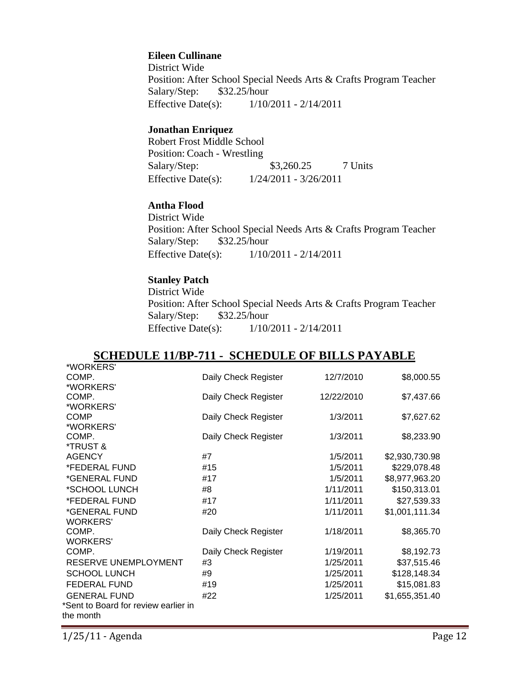#### **Eileen Cullinane**

District Wide Position: After School Special Needs Arts & Crafts Program Teacher Salary/Step: \$32.25/hour Effective Date(s): 1/10/2011 - 2/14/2011

#### **Jonathan Enriquez**

Robert Frost Middle School Position: Coach - Wrestling Salary/Step: \$3,260.25 7 Units Effective Date(s): 1/24/2011 - 3/26/2011

## **Antha Flood**

District Wide Position: After School Special Needs Arts & Crafts Program Teacher Salary/Step: \$32.25/hour Effective Date(s): 1/10/2011 - 2/14/2011

#### **Stanley Patch**

District Wide Position: After School Special Needs Arts & Crafts Program Teacher Salary/Step: \$32.25/hour Effective Date(s): 1/10/2011 - 2/14/2011

## **SCHEDULE 11/BP-711 - SCHEDULE OF BILLS PAYABLE**

| *WORKERS'                            |                      |            |                |
|--------------------------------------|----------------------|------------|----------------|
| COMP.                                | Daily Check Register | 12/7/2010  | \$8,000.55     |
| *WORKERS'                            |                      |            |                |
| COMP.                                | Daily Check Register | 12/22/2010 | \$7,437.66     |
| *WORKERS'                            |                      |            |                |
| <b>COMP</b>                          | Daily Check Register | 1/3/2011   | \$7,627.62     |
| *WORKERS'                            |                      |            |                |
| COMP.                                | Daily Check Register | 1/3/2011   | \$8,233.90     |
| *TRUST &                             |                      |            |                |
| <b>AGENCY</b>                        | #7                   | 1/5/2011   | \$2,930,730.98 |
| *FEDERAL FUND                        | #15                  | 1/5/2011   | \$229,078.48   |
| *GENERAL FUND                        | #17                  | 1/5/2011   | \$8,977,963.20 |
| *SCHOOL LUNCH                        | #8                   | 1/11/2011  | \$150,313.01   |
| *FEDERAL FUND                        | #17                  | 1/11/2011  | \$27,539.33    |
| *GENERAL FUND                        | #20                  | 1/11/2011  | \$1,001,111.34 |
| <b>WORKERS'</b>                      |                      |            |                |
| COMP.                                | Daily Check Register | 1/18/2011  | \$8,365.70     |
| <b>WORKERS'</b>                      |                      |            |                |
| COMP.                                | Daily Check Register | 1/19/2011  | \$8,192.73     |
| RESERVE UNEMPLOYMENT                 | #3                   | 1/25/2011  | \$37,515.46    |
| <b>SCHOOL LUNCH</b>                  | #9                   | 1/25/2011  | \$128,148.34   |
| FEDERAL FUND                         | #19                  | 1/25/2011  | \$15,081.83    |
| <b>GENERAL FUND</b>                  | #22                  | 1/25/2011  | \$1,655,351.40 |
| *Sent to Board for review earlier in |                      |            |                |
| the month                            |                      |            |                |
|                                      |                      |            |                |

1/25/11 - Agenda Page 12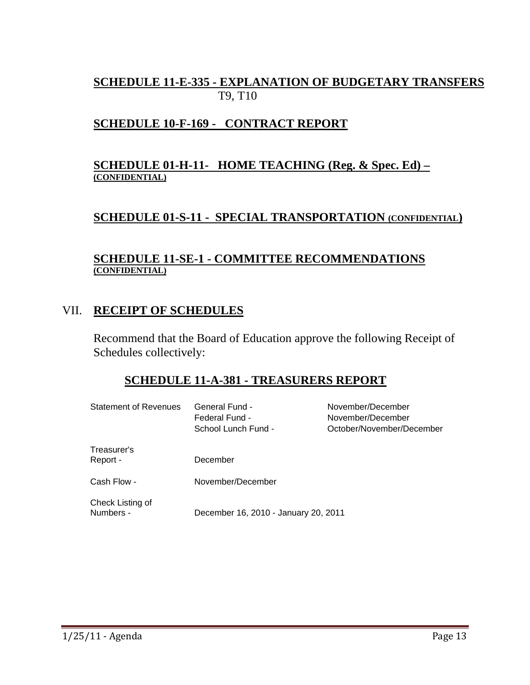# **SCHEDULE 11-E-335 - EXPLANATION OF BUDGETARY TRANSFERS** T9, T10

# **SCHEDULE 10-F-169 - CONTRACT REPORT**

## **SCHEDULE 01-H-11- HOME TEACHING (Reg. & Spec. Ed) – (CONFIDENTIAL)**

# **SCHEDULE 01-S-11 - SPECIAL TRANSPORTATION (CONFIDENTIAL)**

## **SCHEDULE 11-SE-1 - COMMITTEE RECOMMENDATIONS (CONFIDENTIAL)**

# VII. **RECEIPT OF SCHEDULES**

Recommend that the Board of Education approve the following Receipt of Schedules collectively:

# **SCHEDULE 11-A-381 - TREASURERS REPORT**

| <b>Statement of Revenues</b>  | <b>General Fund -</b><br>Federal Fund -<br>School Lunch Fund - | November/December<br>November/December<br>October/November/December |
|-------------------------------|----------------------------------------------------------------|---------------------------------------------------------------------|
| Treasurer's<br>Report -       | December                                                       |                                                                     |
| Cash Flow -                   | November/December                                              |                                                                     |
| Check Listing of<br>Numbers - | December 16, 2010 - January 20, 2011                           |                                                                     |